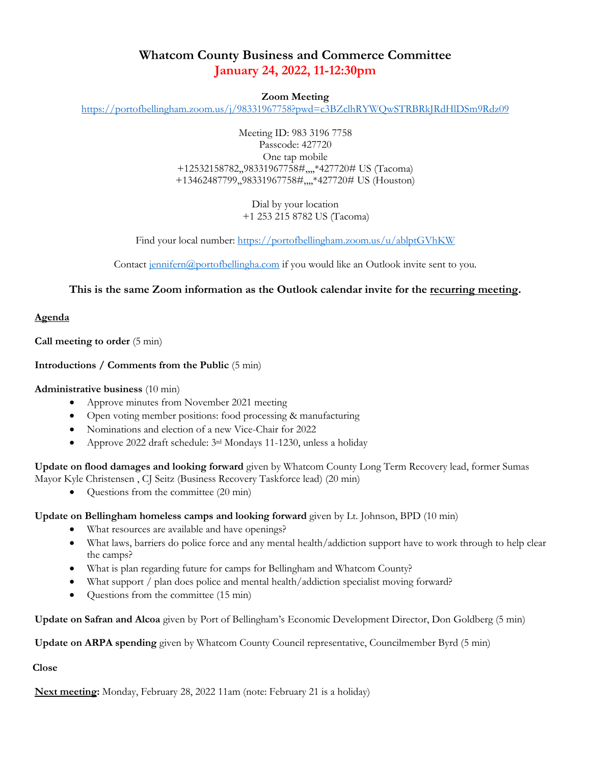# **Whatcom County Business and Commerce Committee January 24, 2022, 11-12:30pm**

### **Zoom Meeting**

<https://portofbellingham.zoom.us/j/98331967758?pwd=c3BZclhRYWQwSTRBRkJRdHlDSm9Rdz09>

Meeting ID: 983 3196 7758 Passcode: 427720 One tap mobile +12532158782,,98331967758#,,,,\*427720# US (Tacoma) +13462487799,,98331967758#,,,,\*427720# US (Houston)

> Dial by your location +1 253 215 8782 US (Tacoma)

Find your local number:<https://portofbellingham.zoom.us/u/ablptGVhKW>

Contact [jennifern@portofbellingha.com](mailto:jennifern@portofbellingha.com) if you would like an Outlook invite sent to you.

## **This is the same Zoom information as the Outlook calendar invite for the recurring meeting.**

#### **Agenda**

**Call meeting to order** (5 min)

#### **Introductions / Comments from the Public** (5 min)

#### **Administrative business** (10 min)

- Approve minutes from November 2021 meeting
- Open voting member positions: food processing & manufacturing
- Nominations and election of a new Vice-Chair for 2022
- Approve 2022 draft schedule: 3rd Mondays 11-1230, unless a holiday

**Update on flood damages and looking forward** given by Whatcom County Long Term Recovery lead, former Sumas Mayor Kyle Christensen , CJ Seitz (Business Recovery Taskforce lead) (20 min)

• Questions from the committee (20 min)

**Update on Bellingham homeless camps and looking forward** given by Lt. Johnson, BPD (10 min)

- What resources are available and have openings?
- What laws, barriers do police force and any mental health/addiction support have to work through to help clear the camps?
- What is plan regarding future for camps for Bellingham and Whatcom County?
- What support / plan does police and mental health/addiction specialist moving forward?
- Questions from the committee (15 min)

**Update on Safran and Alcoa** given by Port of Bellingham's Economic Development Director, Don Goldberg (5 min)

**Update on ARPA spending** given by Whatcom County Council representative, Councilmember Byrd (5 min)

**Close**

**Next meeting:** Monday, February 28, 2022 11am (note: February 21 is a holiday)